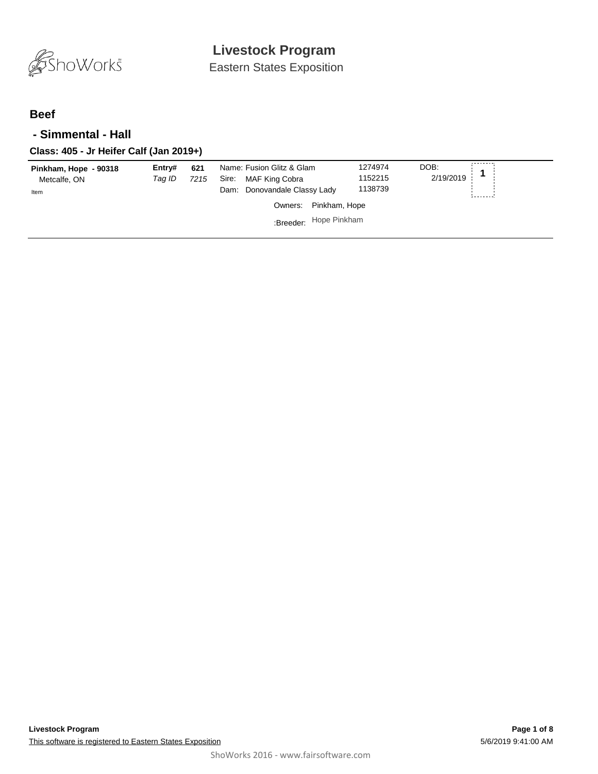

Eastern States Exposition

### **Beef**

#### **- Simmental - Hall**

#### **Class: 405 - Jr Heifer Calf (Jan 2019+)**

| Pinkham, Hope - 90318<br>Metcalfe, ON<br>Item | Entry#<br>Tag ID | 621<br>7215 | Name: Fusion Glitz & Glam<br>MAF King Cobra<br>Sire:<br>Dam: Donovandale Classy Lady | 1274974<br>1152215<br>1138739 | DOB:<br>2/19/2019 |
|-----------------------------------------------|------------------|-------------|--------------------------------------------------------------------------------------|-------------------------------|-------------------|
|                                               |                  |             | Owners: Pinkham, Hope                                                                |                               |                   |
|                                               |                  |             | :Breeder: Hope Pinkham                                                               |                               |                   |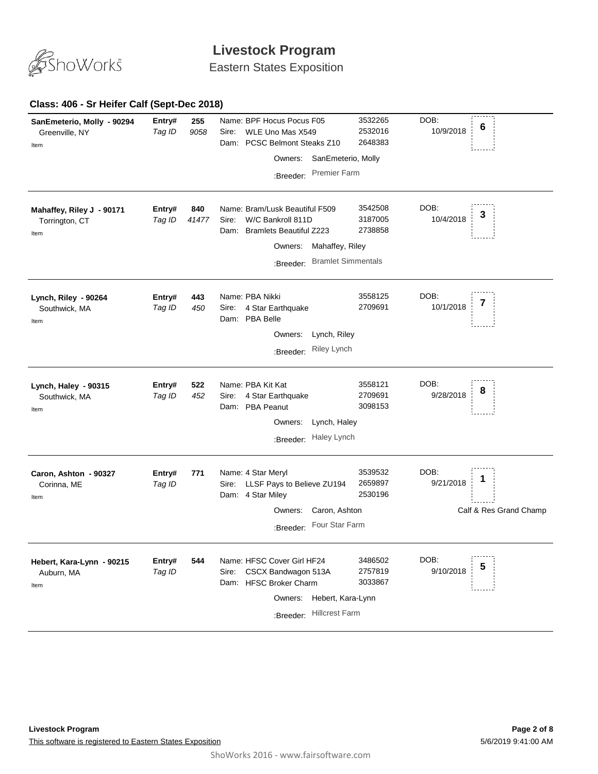

Eastern States Exposition

#### **Class: 406 - Sr Heifer Calf (Sept-Dec 2018)**

| SanEmeterio, Molly - 90294<br>Greenville, NY<br>Item | Entry#<br>Tag ID | 255<br>9058  | Name: BPF Hocus Pocus F05<br>WLE Uno Mas X549<br>Sire:<br>PCSC Belmont Steaks Z10<br>Dam:<br>Owners: SanEmeterio, Molly<br><b>Premier Farm</b><br>:Breeder:                    | 3532265<br>2532016<br>2648383 | DOB:<br>6<br>10/9/2018                      |
|------------------------------------------------------|------------------|--------------|--------------------------------------------------------------------------------------------------------------------------------------------------------------------------------|-------------------------------|---------------------------------------------|
| Mahaffey, Riley J - 90171<br>Torrington, CT<br>Item  | Entry#<br>Tag ID | 840<br>41477 | Name: Bram/Lusk Beautiful F509<br>W/C Bankroll 811D<br>Sire:<br><b>Bramlets Beautiful Z223</b><br>Dam:<br>Mahaffey, Riley<br>Owners:<br><b>Bramlet Simmentals</b><br>:Breeder: | 3542508<br>3187005<br>2738858 | DOB:<br>10/4/2018                           |
| Lynch, Riley - 90264<br>Southwick, MA<br>Item        | Entry#<br>Tag ID | 443<br>450   | Name: PBA Nikki<br>4 Star Earthquake<br>Sire:<br>Dam: PBA Belle<br>Owners:<br>Lynch, Riley<br>Riley Lynch<br>:Breeder:                                                         | 3558125<br>2709691            | DOB:<br>10/1/2018                           |
| Lynch, Haley - 90315<br>Southwick, MA<br>Item        | Entry#<br>Tag ID | 522<br>452   | Name: PBA Kit Kat<br>4 Star Earthquake<br>Sire:<br>Dam: PBA Peanut<br>Owners:<br>Lynch, Haley<br>Haley Lynch<br>:Breeder:                                                      | 3558121<br>2709691<br>3098153 | DOB:<br>8<br>9/28/2018                      |
| Caron, Ashton - 90327<br>Corinna, ME<br>Item         | Entry#<br>Tag ID | 771          | Name: 4 Star Meryl<br>LLSF Pays to Believe ZU194<br>Sire:<br>Dam: 4 Star Miley<br>Caron, Ashton<br>Owners:<br>Four Star Farm<br>:Breeder:                                      | 3539532<br>2659897<br>2530196 | DOB:<br>9/21/2018<br>Calf & Res Grand Champ |
| Hebert, Kara-Lynn - 90215<br>Auburn, MA<br>Item      | Entry#<br>Tag ID | 544          | Name: HFSC Cover Girl HF24<br>CSCX Bandwagon 513A<br>Sire:<br>Dam: HFSC Broker Charm<br>Hebert, Kara-Lynn<br>Owners:<br><b>Hillcrest Farm</b><br>:Breeder:                     | 3486502<br>2757819<br>3033867 | DOB:<br>5<br>9/10/2018                      |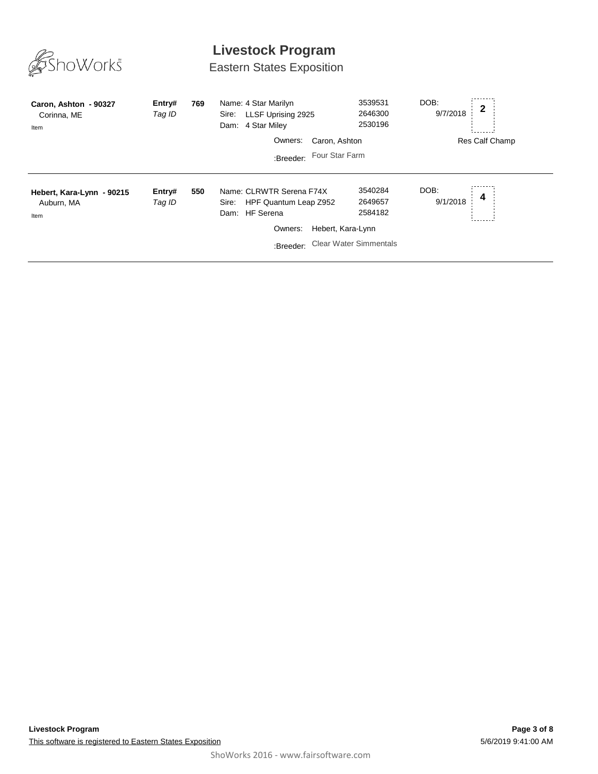

# Eastern States Exposition

| Caron, Ashton - 90327<br>Corinna, ME<br>Item    | Entry#<br>Tag ID | 769 | Name: 4 Star Marilyn<br>Sire: LLSF Uprising 2925<br>Dam: 4 Star Miley     | 3539531<br>2646300<br>2530196 | DOB:<br>9/7/2018 | $\mathbf 2$    |
|-------------------------------------------------|------------------|-----|---------------------------------------------------------------------------|-------------------------------|------------------|----------------|
|                                                 |                  |     | Owners:                                                                   | Caron, Ashton                 |                  | Res Calf Champ |
|                                                 |                  |     | :Breeder:                                                                 | Four Star Farm                |                  |                |
| Hebert, Kara-Lynn - 90215<br>Auburn, MA<br>Item | Entry#<br>Tag ID | 550 | Name: CLRWTR Serena F74X<br>Sire: HPF Quantum Leap Z952<br>Dam: HF Serena | 3540284<br>2649657<br>2584182 | DOB:<br>9/1/2018 | 4              |
|                                                 |                  |     | Owners:                                                                   | Hebert, Kara-Lynn             |                  |                |
|                                                 |                  |     | :Breeder:                                                                 | <b>Clear Water Simmentals</b> |                  |                |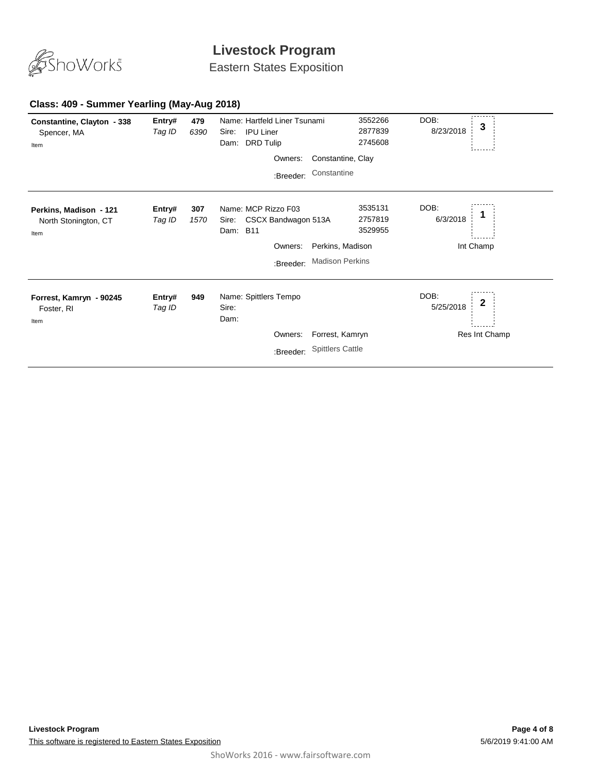

Eastern States Exposition

#### **Class: 409 - Summer Yearling (May-Aug 2018)**

| Constantine, Clayton - 338<br>Spencer, MA<br>Item      | Entry#<br>Tag ID | 479<br>6390 | Name: Hartfeld Liner Tsunami<br><b>IPU Liner</b><br>Sire:<br><b>DRD Tulip</b><br>Dam: |                         | 3552266<br>2877839<br>2745608 | DOB:<br>8/23/2018 | 3             |
|--------------------------------------------------------|------------------|-------------|---------------------------------------------------------------------------------------|-------------------------|-------------------------------|-------------------|---------------|
|                                                        |                  |             | Owners:                                                                               | Constantine, Clay       |                               |                   |               |
|                                                        |                  |             | :Breeder:                                                                             | Constantine             |                               |                   |               |
| Perkins, Madison - 121<br>North Stonington, CT<br>Item | Entry#<br>Tag ID | 307<br>1570 | Name: MCP Rizzo F03<br>CSCX Bandwagon 513A<br>Sire:<br>Dam: B11                       |                         | 3535131<br>2757819<br>3529955 | DOB:<br>6/3/2018  |               |
|                                                        |                  |             | Owners:                                                                               | Perkins, Madison        |                               |                   | Int Champ     |
|                                                        |                  |             | :Breeder:                                                                             | <b>Madison Perkins</b>  |                               |                   |               |
| Forrest, Kamryn - 90245<br>Foster, RI<br>Item          | Entry#<br>Tag ID | 949         | Name: Spittlers Tempo<br>Sire:<br>Dam:                                                |                         |                               | DOB:<br>5/25/2018 | 2             |
|                                                        |                  |             | Owners:                                                                               | Forrest, Kamryn         |                               |                   | Res Int Champ |
|                                                        |                  |             | :Breeder:                                                                             | <b>Spittlers Cattle</b> |                               |                   |               |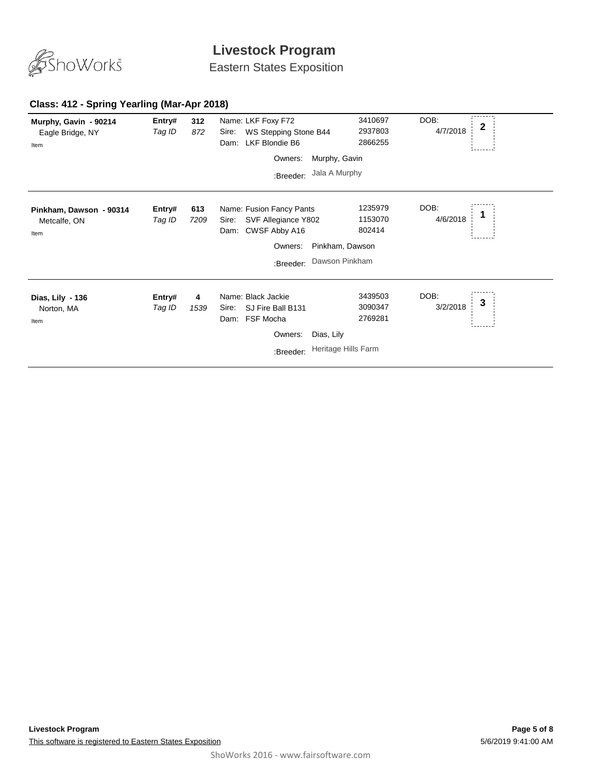

Eastern States Exposition

#### **Class: 412 - Spring Yearling (Mar-Apr 2018)**

| Murphy, Gavin - 90214<br>Eagle Bridge, NY<br>Item | Entry#<br>Tag ID | 312<br>872  | Name: LKF Foxy F72<br>WS Stepping Stone B44<br>Sire:<br>LKF Blondie B6<br>Dam:    |                     | 3410697<br>2937803<br>2866255 | DOB:<br>4/7/2018 | $\mathbf{2}$ |
|---------------------------------------------------|------------------|-------------|-----------------------------------------------------------------------------------|---------------------|-------------------------------|------------------|--------------|
|                                                   |                  |             | Owners:                                                                           | Murphy, Gavin       |                               |                  |              |
|                                                   |                  |             | :Breeder:                                                                         | Jala A Murphy       |                               |                  |              |
| Pinkham, Dawson - 90314<br>Metcalfe, ON<br>Item   | Entry#<br>Tag ID | 613<br>7209 | Name: Fusion Fancy Pants<br>SVF Allegiance Y802<br>Sire:<br>CWSF Abby A16<br>Dam: |                     | 1235979<br>1153070<br>802414  | DOB:<br>4/6/2018 |              |
|                                                   |                  |             | Owners:                                                                           | Pinkham, Dawson     |                               |                  |              |
|                                                   |                  |             | :Breeder:                                                                         | Dawson Pinkham      |                               |                  |              |
| Dias, Lily - 136<br>Norton, MA<br>Item            | Entry#<br>Tag ID | 4<br>1539   | Name: Black Jackie<br>SJ Fire Ball B131<br>Sire:<br>FSF Mocha<br>Dam:             |                     | 3439503<br>3090347<br>2769281 | DOB:<br>3/2/2018 | 3            |
|                                                   |                  |             | Owners:                                                                           | Dias, Lily          |                               |                  |              |
|                                                   |                  |             | :Breeder:                                                                         | Heritage Hills Farm |                               |                  |              |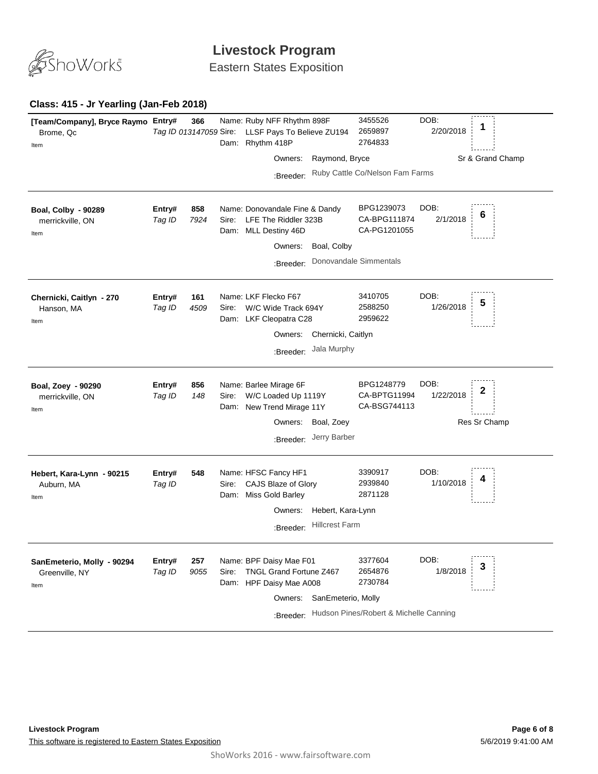

Eastern States Exposition

#### **Class: 415 - Jr Yearling (Jan-Feb 2018)**

| [Team/Company], Bryce Raymo Entry#<br>Brome, Qc<br>Item | Tag ID 013147059 Sire: | 366         |               | Name: Ruby NFF Rhythm 898F<br>LLSF Pays To Believe ZU194<br>Dam: Rhythm 418P              |                                   | 3455526<br>2659897<br>2764833              | DOB:<br>2/20/2018 | 1                |
|---------------------------------------------------------|------------------------|-------------|---------------|-------------------------------------------------------------------------------------------|-----------------------------------|--------------------------------------------|-------------------|------------------|
|                                                         |                        |             |               | Owners:                                                                                   | Raymond, Bryce                    |                                            |                   | Sr & Grand Champ |
|                                                         |                        |             |               | :Breeder:                                                                                 |                                   | Ruby Cattle Co/Nelson Fam Farms            |                   |                  |
| Boal, Colby - 90289<br>merrickville, ON<br>Item         | Entry#<br>Tag ID       | 858<br>7924 | Sire:         | Name: Donovandale Fine & Dandy<br>LFE The Riddler 323B<br>Dam: MLL Destiny 46D<br>Owners: | Boal, Colby                       | BPG1239073<br>CA-BPG111874<br>CA-PG1201055 | DOB:<br>2/1/2018  | 6                |
|                                                         |                        |             |               | :Breeder:                                                                                 |                                   | Donovandale Simmentals                     |                   |                  |
| Chernicki, Caitlyn - 270<br>Hanson, MA<br>Item          | Entry#<br>Tag ID       | 161<br>4509 | Sire:         | Name: LKF Flecko F67<br>W/C Wide Track 694Y<br>Dam: LKF Cleopatra C28                     |                                   | 3410705<br>2588250<br>2959622              | DOB:<br>1/26/2018 | 5                |
|                                                         |                        |             |               | Owners:<br>:Breeder:                                                                      | Chernicki, Caitlyn<br>Jala Murphy |                                            |                   |                  |
|                                                         |                        |             |               |                                                                                           |                                   |                                            |                   |                  |
| Boal, Zoey - 90290<br>merrickville, ON<br>Item          | Entry#<br>Tag ID       | 856<br>148  | Sire:<br>Dam: | Name: Barlee Mirage 6F<br>W/C Loaded Up 1119Y<br>New Trend Mirage 11Y                     |                                   | BPG1248779<br>CA-BPTG11994<br>CA-BSG744113 | DOB:<br>1/22/2018 | 2                |
|                                                         |                        |             |               | Owners:<br>:Breeder:                                                                      | Boal, Zoey<br>Jerry Barber        |                                            |                   | Res Sr Champ     |
|                                                         |                        |             |               |                                                                                           |                                   |                                            |                   |                  |
| Hebert, Kara-Lynn - 90215<br>Auburn, MA<br>Item         | Entry#<br>Tag ID       | 548         | Sire:         | Name: HFSC Fancy HF1<br>CAJS Blaze of Glory<br>Dam: Miss Gold Barley                      |                                   | 3390917<br>2939840<br>2871128              | DOB:<br>1/10/2018 |                  |
| Hebert, Kara-Lynn<br>Owners:                            |                        |             |               |                                                                                           |                                   |                                            |                   |                  |
|                                                         |                        |             |               | :Breeder:                                                                                 | <b>Hillcrest Farm</b>             |                                            |                   |                  |
| SanEmeterio, Molly - 90294<br>Greenville, NY<br>Item    | Entry#<br>Tag ID       | 257<br>9055 | Sire:         | Name: BPF Daisy Mae F01<br>TNGL Grand Fortune Z467<br>Dam: HPF Daisy Mae A008<br>Owners:  | SanEmeterio, Molly                | 3377604<br>2654876<br>2730784              | DOB:<br>1/8/2018  | 3                |
|                                                         |                        |             |               | :Breeder:                                                                                 |                                   | Hudson Pines/Robert & Michelle Canning     |                   |                  |
|                                                         |                        |             |               |                                                                                           |                                   |                                            |                   |                  |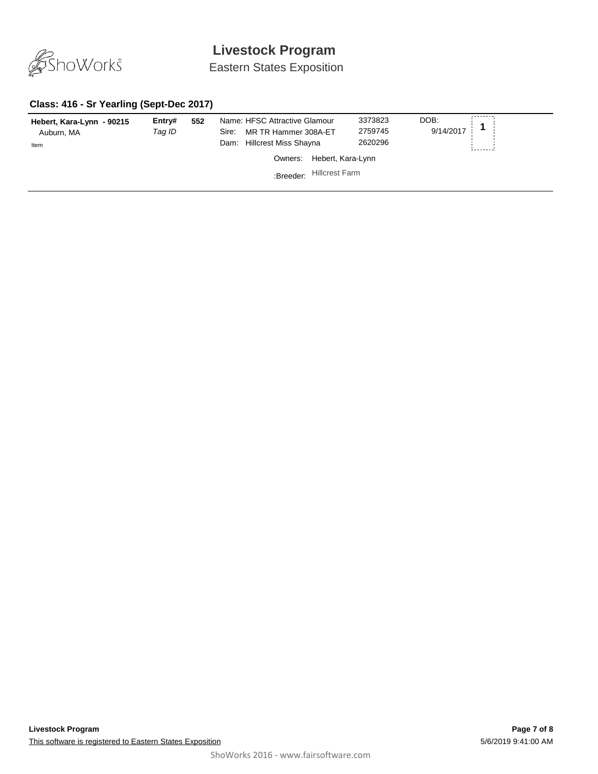

Eastern States Exposition

#### **Class: 416 - Sr Yearling (Sept-Dec 2017)**

| Hebert, Kara-Lynn - 90215<br>Auburn, MA<br>Item | Entry#<br>Taq ID | 552 | Name: HFSC Attractive Glamour<br>MR TR Hammer 308A-ET<br>Sire:<br>Dam: Hillcrest Miss Shayna | 3373823<br>2759745<br>2620296 | DOB:<br>9/14/2017 |
|-------------------------------------------------|------------------|-----|----------------------------------------------------------------------------------------------|-------------------------------|-------------------|
|                                                 |                  |     | Owners:                                                                                      | Hebert, Kara-Lynn             |                   |
|                                                 |                  |     | :Breeder:                                                                                    | <b>Hillcrest Farm</b>         |                   |